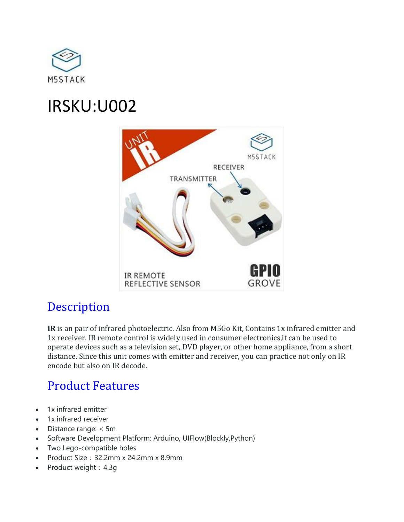

# IRSKU:U002



### **[Description](https://docs.m5stack.com/#/en/unit/ir?id=description)**

**IR** is an pair of infrared photoelectric. Also from M5Go Kit, Contains 1x infrared emitter and 1x receiver. IR remote control is widely used in consumer electronics,it can be used to operate devices such as a television set, DVD player, or other home appliance, from a short distance. Since this unit comes with emitter and receiver, you can practice not only on IR encode but also on IR decode.

## [Product Features](https://docs.m5stack.com/#/en/unit/ir?id=product-features)

- 1x infrared emitter
- 1x infrared receiver
- Distance range: < 5m
- Software Development Platform: Arduino, UIFlow(Blockly,Python)
- Two Lego-compatible holes
- Product Size:32.2mm x 24.2mm x 8.9mm
- Product weight: 4.3g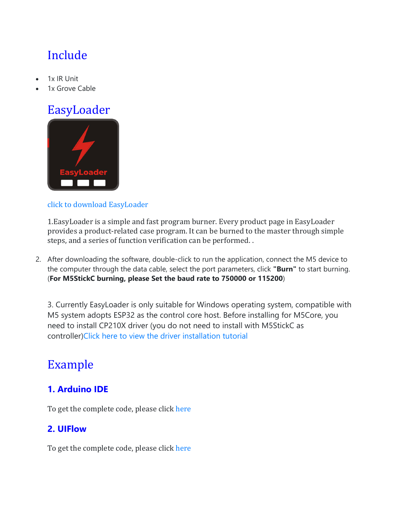## [Include](https://docs.m5stack.com/#/en/unit/ir?id=include)

- 1x IR Unit
- 1x Grove Cable

## [EasyLoader](https://docs.m5stack.com/#/en/unit/ir?id=easyloader)



#### [click to download EasyLoader](https://m5stack.oss-cn-shenzhen.aliyuncs.com/EasyLoader/Unit/EasyLoader_IR.exe)

1.EasyLoader is a simple and fast program burner. Every product page in EasyLoader provides a product-related case program. It can be burned to the master through simple steps, and a series of function verification can be performed. .

2. After downloading the software, double-click to run the application, connect the M5 device to the computer through the data cable, select the port parameters, click **"Burn"** to start burning. (**For M5StickC burning, please Set the baud rate to 750000 or 115200**)

3. Currently EasyLoader is only suitable for Windows operating system, compatible with M5 system adopts ESP32 as the control core host. Before installing for M5Core, you need to install CP210X driver (you do not need to install with M5StickC as controller[\)Click here to view the driver installation tutorial](https://docs.m5stack.com/#/en/related_documents/M5Burner?id=install-usb-driver)

### [Example](https://docs.m5stack.com/#/en/unit/ir?id=example)

#### **[1. Arduino IDE](https://docs.m5stack.com/#/en/unit/ir?id=_1-arduino-ide)**

To get the complete code, please click [here](https://github.com/m5stack/M5-ProductExampleCodes/tree/master/Unit/IR/Arduino)

#### **[2. UIFlow](https://docs.m5stack.com/#/en/unit/ir?id=_2-uiflow)**

To get the complete code, please click [here](https://github.com/m5stack/M5-ProductExampleCodes/tree/master/Unit/IR/UIFlow)